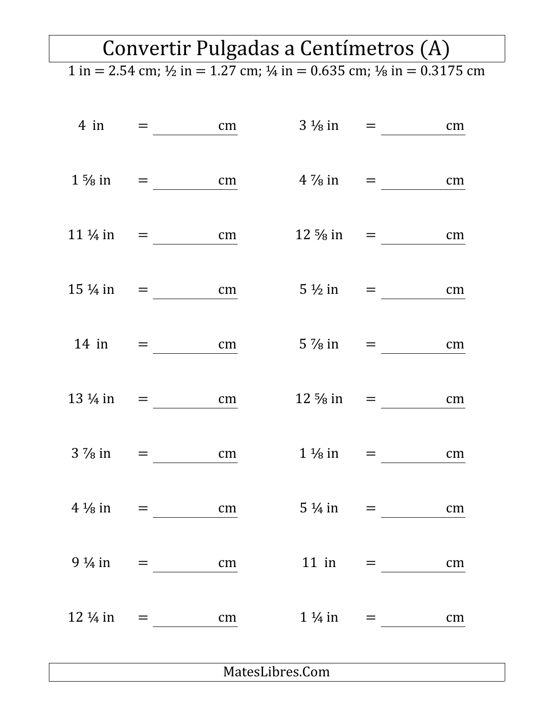## Convertir Pulgadas a Centímetros (A)

 $1 \text{ in } = 2.54 \text{ cm}; \frac{1}{2} \text{ in } = 1.27 \text{ cm}; \frac{1}{4} \text{ in } = 0.635 \text{ cm}; \frac{1}{8} \text{ in } = 0.3175 \text{ cm}$ 

| $4$ in             | $=$                                                                           | cm      | $3\frac{1}{8}$ in =  |                     | cm |  |
|--------------------|-------------------------------------------------------------------------------|---------|----------------------|---------------------|----|--|
| $1\frac{5}{8}$ in  |                                                                               | cm      | $4\frac{7}{8}$ in    | $=$ $\sim$          | cm |  |
| $11\frac{1}{4}$ in |                                                                               | cm      | $12\frac{5}{8}$ in   | $=$ $\qquad$        | cm |  |
| $15\frac{1}{4}$ in |                                                                               | cm      | $5\frac{1}{2}$ in    |                     | cm |  |
| $14$ in            | and the second second second                                                  | cm      | $5\frac{7}{8}$ in =  |                     | cm |  |
| $13\frac{1}{4}$ in | $\mathbf{r} = \mathbf{r} \mathbf{r}$ and $\mathbf{r} = \mathbf{r} \mathbf{r}$ | cm      | $12\frac{5}{8}$ in = |                     | cm |  |
| $3\frac{7}{8}$ in  | $\equiv$                                                                      | cm      |                      | $1\frac{1}{8}$ in = | cm |  |
| $4\frac{1}{8}$ in  | =                                                                             | $\, cm$ | $5\frac{1}{4}$ in    | $=$ $\sim$          | cm |  |
|                    |                                                                               |         |                      |                     | cm |  |
|                    |                                                                               |         |                      | $1\frac{1}{4}$ in = | cm |  |
|                    |                                                                               |         |                      |                     |    |  |